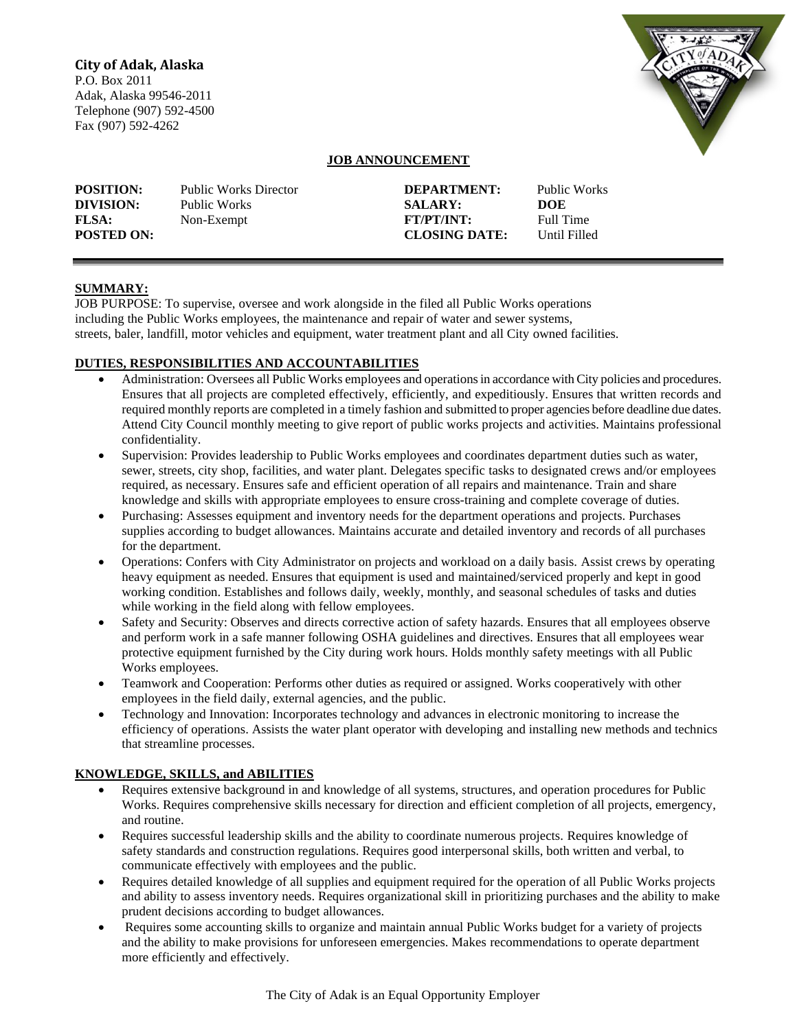## **City of Adak, Alaska**

P.O. Box 2011 Adak, Alaska 99546-2011 Telephone (907) 592-4500 Fax (907) 592-4262



# **JOB ANNOUNCEMENT**

| <b>POSITION:</b>  | <b>Public Works Director</b> | DEPARTMENT:          | Public Works |
|-------------------|------------------------------|----------------------|--------------|
| DIVISION:         | Public Works                 | <b>SALARY:</b>       | DOE          |
| <b>FLSA:</b>      | Non-Exempt                   | <b>FT/PT/INT:</b>    | Full Time    |
| <b>POSTED ON:</b> |                              | <b>CLOSING DATE:</b> | Until Filled |

## **SUMMARY:**

JOB PURPOSE: To supervise, oversee and work alongside in the filed all Public Works operations including the Public Works employees, the maintenance and repair of water and sewer systems, streets, baler, landfill, motor vehicles and equipment, water treatment plant and all City owned facilities.

## **DUTIES, RESPONSIBILITIES AND ACCOUNTABILITIES**

- Administration: Oversees all Public Works employees and operations in accordance with City policies and procedures. Ensures that all projects are completed effectively, efficiently, and expeditiously. Ensures that written records and required monthly reports are completed in a timely fashion and submitted to proper agencies before deadline due dates. Attend City Council monthly meeting to give report of public works projects and activities. Maintains professional confidentiality.
- Supervision: Provides leadership to Public Works employees and coordinates department duties such as water, sewer, streets, city shop, facilities, and water plant. Delegates specific tasks to designated crews and/or employees required, as necessary. Ensures safe and efficient operation of all repairs and maintenance. Train and share knowledge and skills with appropriate employees to ensure cross-training and complete coverage of duties.
- Purchasing: Assesses equipment and inventory needs for the department operations and projects. Purchases supplies according to budget allowances. Maintains accurate and detailed inventory and records of all purchases for the department.
- Operations: Confers with City Administrator on projects and workload on a daily basis. Assist crews by operating heavy equipment as needed. Ensures that equipment is used and maintained/serviced properly and kept in good working condition. Establishes and follows daily, weekly, monthly, and seasonal schedules of tasks and duties while working in the field along with fellow employees.
- Safety and Security: Observes and directs corrective action of safety hazards. Ensures that all employees observe and perform work in a safe manner following OSHA guidelines and directives. Ensures that all employees wear protective equipment furnished by the City during work hours. Holds monthly safety meetings with all Public Works employees.
- Teamwork and Cooperation: Performs other duties as required or assigned. Works cooperatively with other employees in the field daily, external agencies, and the public.
- Technology and Innovation: Incorporates technology and advances in electronic monitoring to increase the efficiency of operations. Assists the water plant operator with developing and installing new methods and technics that streamline processes.

#### **KNOWLEDGE, SKILLS, and ABILITIES**

- Requires extensive background in and knowledge of all systems, structures, and operation procedures for Public Works. Requires comprehensive skills necessary for direction and efficient completion of all projects, emergency, and routine.
- Requires successful leadership skills and the ability to coordinate numerous projects. Requires knowledge of safety standards and construction regulations. Requires good interpersonal skills, both written and verbal, to communicate effectively with employees and the public.
- Requires detailed knowledge of all supplies and equipment required for the operation of all Public Works projects and ability to assess inventory needs. Requires organizational skill in prioritizing purchases and the ability to make prudent decisions according to budget allowances.
- Requires some accounting skills to organize and maintain annual Public Works budget for a variety of projects and the ability to make provisions for unforeseen emergencies. Makes recommendations to operate department more efficiently and effectively.